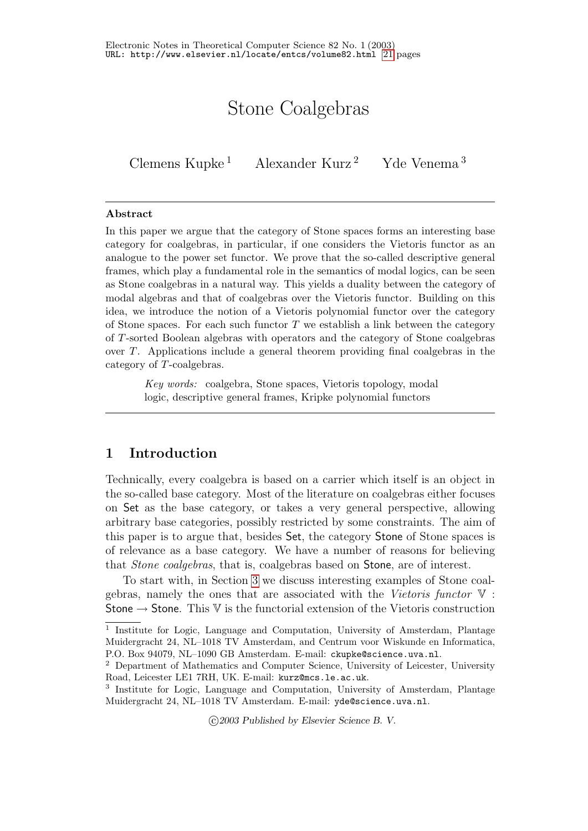# Stone Coalgebras

Clemens Kupke<sup>1</sup> Alexander Kurz<sup>2</sup> Yde Venema<sup>3</sup>

## Abstract

In this paper we argue that the category of Stone spaces forms an interesting base category for coalgebras, in particular, if one considers the Vietoris functor as an analogue to the power set functor. We prove that the so-called descriptive general frames, which play a fundamental role in the semantics of modal logics, can be seen as Stone coalgebras in a natural way. This yields a duality between the category of modal algebras and that of coalgebras over the Vietoris functor. Building on this idea, we introduce the notion of a Vietoris polynomial functor over the category of Stone spaces. For each such functor  $T$  we establish a link between the category of T-sorted Boolean algebras with operators and the category of Stone coalgebras over T. Applications include a general theorem providing final coalgebras in the category of T-coalgebras.

Key words: coalgebra, Stone spaces, Vietoris topology, modal logic, descriptive general frames, Kripke polynomial functors

# 1 Introduction

Technically, every coalgebra is based on a carrier which itself is an object in the so-called base category. Most of the literature on coalgebras either focuses on Set as the base category, or takes a very general perspective, allowing arbitrary base categories, possibly restricted by some constraints. The aim of this paper is to argue that, besides Set, the category Stone of Stone spaces is of relevance as a base category. We have a number of reasons for believing that Stone coalgebras, that is, coalgebras based on Stone, are of interest.

To start with, in Section [3](#page-3-0) we discuss interesting examples of Stone coalgebras, namely the ones that are associated with the Vietoris functor  $\nabla$ : Stone  $\rightarrow$  Stone. This V is the functorial extension of the Vietoris construction

c 2003 Published by Elsevier Science B. V.

<sup>&</sup>lt;sup>1</sup> Institute for Logic, Language and Computation, University of Amsterdam, Plantage Muidergracht 24, NL–1018 TV Amsterdam, and Centrum voor Wiskunde en Informatica, P.O. Box 94079, NL–1090 GB Amsterdam. E-mail: ckupke@science.uva.nl.

<sup>2</sup> Department of Mathematics and Computer Science, University of Leicester, University Road, Leicester LE1 7RH, UK. E-mail: kurz@mcs.le.ac.uk.

<sup>3</sup> Institute for Logic, Language and Computation, University of Amsterdam, Plantage Muidergracht 24, NL–1018 TV Amsterdam. E-mail: yde@science.uva.nl.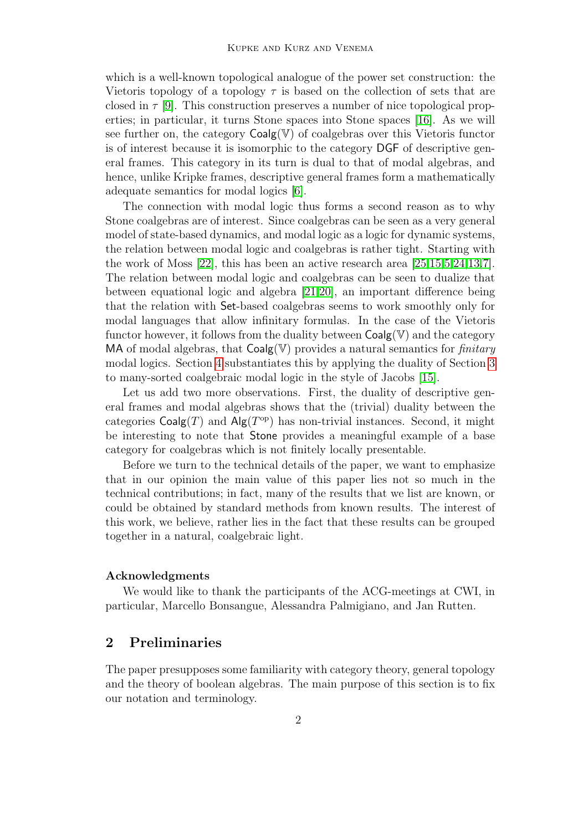which is a well-known topological analogue of the power set construction: the Vietoris topology of a topology  $\tau$  is based on the collection of sets that are closed in  $\tau$  [\[9\]](#page-19-0). This construction preserves a number of nice topological properties; in particular, it turns Stone spaces into Stone spaces [\[16\]](#page-19-1). As we will see further on, the category  $Coalg(\mathbb{V})$  of coalgebras over this Vietoris functor is of interest because it is isomorphic to the category DGF of descriptive general frames. This category in its turn is dual to that of modal algebras, and hence, unlike Kripke frames, descriptive general frames form a mathematically adequate semantics for modal logics [\[6\]](#page-18-0).

The connection with modal logic thus forms a second reason as to why Stone coalgebras are of interest. Since coalgebras can be seen as a very general model of state-based dynamics, and modal logic as a logic for dynamic systems, the relation between modal logic and coalgebras is rather tight. Starting with the work of Moss [\[22\]](#page-19-2), this has been an active research area [\[25,](#page-20-0)[15,](#page-19-3)[5,](#page-18-1)[24,](#page-19-4)[13,](#page-19-5)[7\]](#page-18-2). The relation between modal logic and coalgebras can be seen to dualize that between equational logic and algebra [\[21](#page-19-6)[,20\]](#page-19-7), an important difference being that the relation with Set-based coalgebras seems to work smoothly only for modal languages that allow infinitary formulas. In the case of the Vietoris functor however, it follows from the duality between  $\text{Coalg}(\mathbb{V})$  and the category MA of modal algebras, that  $Coalg(\mathbb{V})$  provides a natural semantics for *finitary* modal logics. Section [4](#page-10-0) substantiates this by applying the duality of Section [3](#page-3-0) to many-sorted coalgebraic modal logic in the style of Jacobs [\[15\]](#page-19-3).

Let us add two more observations. First, the duality of descriptive general frames and modal algebras shows that the (trivial) duality between the categories  $Coalg(T)$  and  $Alg(T^{op})$  has non-trivial instances. Second, it might be interesting to note that Stone provides a meaningful example of a base category for coalgebras which is not finitely locally presentable.

Before we turn to the technical details of the paper, we want to emphasize that in our opinion the main value of this paper lies not so much in the technical contributions; in fact, many of the results that we list are known, or could be obtained by standard methods from known results. The interest of this work, we believe, rather lies in the fact that these results can be grouped together in a natural, coalgebraic light.

### Acknowledgments

We would like to thank the participants of the ACG-meetings at CWI, in particular, Marcello Bonsangue, Alessandra Palmigiano, and Jan Rutten.

# 2 Preliminaries

The paper presupposes some familiarity with category theory, general topology and the theory of boolean algebras. The main purpose of this section is to fix our notation and terminology.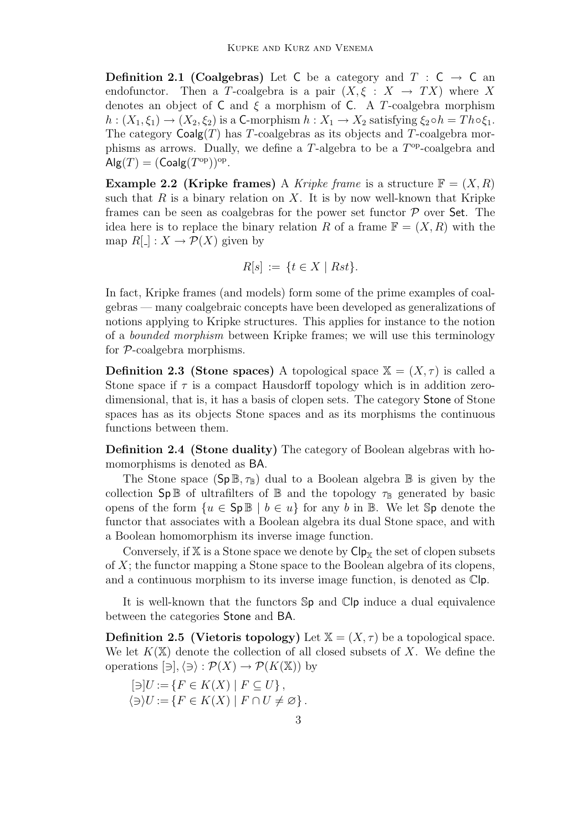**Definition 2.1 (Coalgebras)** Let C be a category and  $T : C \rightarrow C$  and endofunctor. Then a T-coalgebra is a pair  $(X, \xi : X \to TX)$  where X denotes an object of C and  $\xi$  a morphism of C. A T-coalgebra morphism  $h: (X_1, \xi_1) \to (X_2, \xi_2)$  is a C-morphism  $h: X_1 \to X_2$  satisfying  $\xi_2 \circ h = Th \circ \xi_1$ . The category  $\text{Coalg}(T)$  has T-coalgebras as its objects and T-coalgebra morphisms as arrows. Dually, we define a  $T$ -algebra to be a  $T<sup>op</sup>$ -coalgebra and  $\mathsf{Alg}(T) = (\mathsf{Coalg}(T^{\mathrm{op}}))^{\mathrm{op}}.$ 

<span id="page-2-0"></span>**Example 2.2 (Kripke frames)** A Kripke frame is a structure  $\mathbb{F} = (X, R)$ such that  $R$  is a binary relation on  $X$ . It is by now well-known that Kripke frames can be seen as coalgebras for the power set functor  $P$  over Set. The idea here is to replace the binary relation R of a frame  $\mathbb{F} = (X, R)$  with the map  $R[\ ] : X \to \mathcal{P}(X)$  given by

$$
R[s] := \{ t \in X \mid Rst \}.
$$

In fact, Kripke frames (and models) form some of the prime examples of coalgebras — many coalgebraic concepts have been developed as generalizations of notions applying to Kripke structures. This applies for instance to the notion of a bounded morphism between Kripke frames; we will use this terminology for P-coalgebra morphisms.

**Definition 2.3 (Stone spaces)** A topological space  $X = (X, \tau)$  is called a Stone space if  $\tau$  is a compact Hausdorff topology which is in addition zerodimensional, that is, it has a basis of clopen sets. The category Stone of Stone spaces has as its objects Stone spaces and as its morphisms the continuous functions between them.

<span id="page-2-2"></span>Definition 2.4 (Stone duality) The category of Boolean algebras with homomorphisms is denoted as BA.

The Stone space  $(Sp \mathbb{B}, \tau_{\mathbb{B}})$  dual to a Boolean algebra  $\mathbb{B}$  is given by the collection  $\mathsf{Sp}\,\mathbb{B}$  of ultrafilters of  $\mathbb B$  and the topology  $\tau_{\mathbb{B}}$  generated by basic opens of the form  $\{u \in \mathsf{Sp}\,\mathbb{B} \mid b \in u\}$  for any b in  $\mathbb{B}$ . We let  $\mathsf{Sp}$  denote the functor that associates with a Boolean algebra its dual Stone space, and with a Boolean homomorphism its inverse image function.

Conversely, if  $X$  is a Stone space we denote by  $\mathsf{Cip}_X$  the set of clopen subsets of  $X$ ; the functor mapping a Stone space to the Boolean algebra of its clopens, and a continuous morphism to its inverse image function, is denoted as Clp.

It is well-known that the functors Sp and Clp induce a dual equivalence between the categories Stone and BA.

<span id="page-2-1"></span>**Definition 2.5 (Vietoris topology)** Let  $\mathbb{X} = (X, \tau)$  be a topological space. We let  $K(\mathbb{X})$  denote the collection of all closed subsets of X. We define the operations  $[\exists], \langle \exists \rangle : \mathcal{P}(X) \to \mathcal{P}(K(\mathbb{X}))$  by

$$
[\ni]U := \{ F \in K(X) \mid F \subseteq U \},\
$$

$$
\langle \ni \rangle U := \{ F \in K(X) \mid F \cap U \neq \varnothing \}.
$$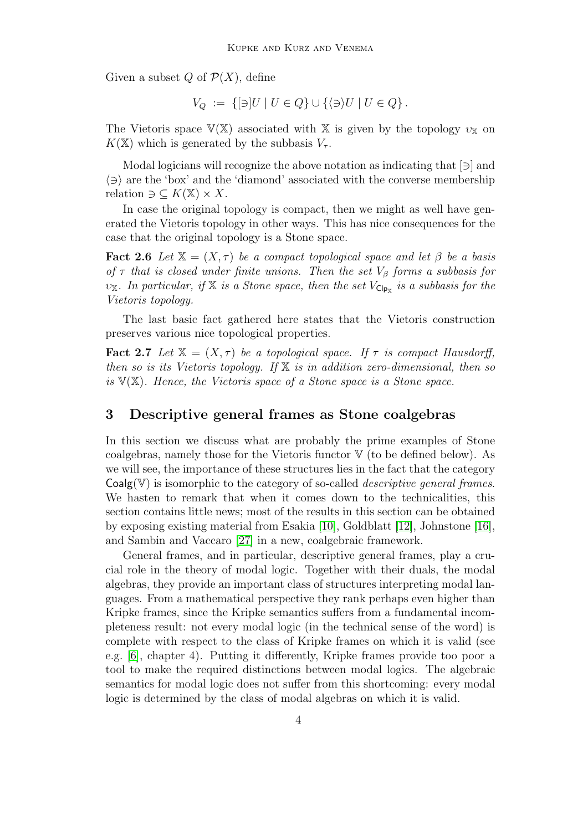Given a subset  $Q$  of  $\mathcal{P}(X)$ , define

$$
V_Q := \{ [\ni] U \mid U \in Q \} \cup \{ \langle \ni \rangle U \mid U \in Q \}.
$$

The Vietoris space  $V(X)$  associated with X is given by the topology  $v_X$  on  $K(\mathbb{X})$  which is generated by the subbasis  $V_{\tau}$ .

Modal logicians will recognize the above notation as indicating that  $[\ni]$  and  $\langle \exists \rangle$  are the 'box' and the 'diamond' associated with the converse membership relation  $\supset \subseteq K(\mathbb{X}) \times X$ .

In case the original topology is compact, then we might as well have generated the Vietoris topology in other ways. This has nice consequences for the case that the original topology is a Stone space.

**Fact 2.6** Let  $\mathbb{X} = (X, \tau)$  be a compact topological space and let  $\beta$  be a basis of  $\tau$  that is closed under finite unions. Then the set  $V_{\beta}$  forms a subbasis for υ<sub>X</sub>. In particular, if X is a Stone space, then the set  $V_{C|p_X}$  is a subbasis for the Vietoris topology.

The last basic fact gathered here states that the Vietoris construction preserves various nice topological properties.

**Fact 2.7** Let  $X = (X, \tau)$  be a topological space. If  $\tau$  is compact Hausdorff, then so is its Vietoris topology. If  $X$  is in addition zero-dimensional, then so is  $V(X)$ . Hence, the Vietoris space of a Stone space is a Stone space.

## <span id="page-3-0"></span>3 Descriptive general frames as Stone coalgebras

In this section we discuss what are probably the prime examples of Stone coalgebras, namely those for the Vietoris functor  $V$  (to be defined below). As we will see, the importance of these structures lies in the fact that the category  $Coalg(\mathbb{V})$  is isomorphic to the category of so-called *descriptive general frames*. We hasten to remark that when it comes down to the technicalities, this section contains little news; most of the results in this section can be obtained by exposing existing material from Esakia [\[10\]](#page-19-8), Goldblatt [\[12\]](#page-19-9), Johnstone [\[16\]](#page-19-1), and Sambin and Vaccaro [\[27\]](#page-20-1) in a new, coalgebraic framework.

<span id="page-3-1"></span>General frames, and in particular, descriptive general frames, play a crucial role in the theory of modal logic. Together with their duals, the modal algebras, they provide an important class of structures interpreting modal languages. From a mathematical perspective they rank perhaps even higher than Kripke frames, since the Kripke semantics suffers from a fundamental incompleteness result: not every modal logic (in the technical sense of the word) is complete with respect to the class of Kripke frames on which it is valid (see e.g. [\[6\]](#page-18-0), chapter 4). Putting it differently, Kripke frames provide too poor a tool to make the required distinctions between modal logics. The algebraic semantics for modal logic does not suffer from this shortcoming: every modal logic is determined by the class of modal algebras on which it is valid.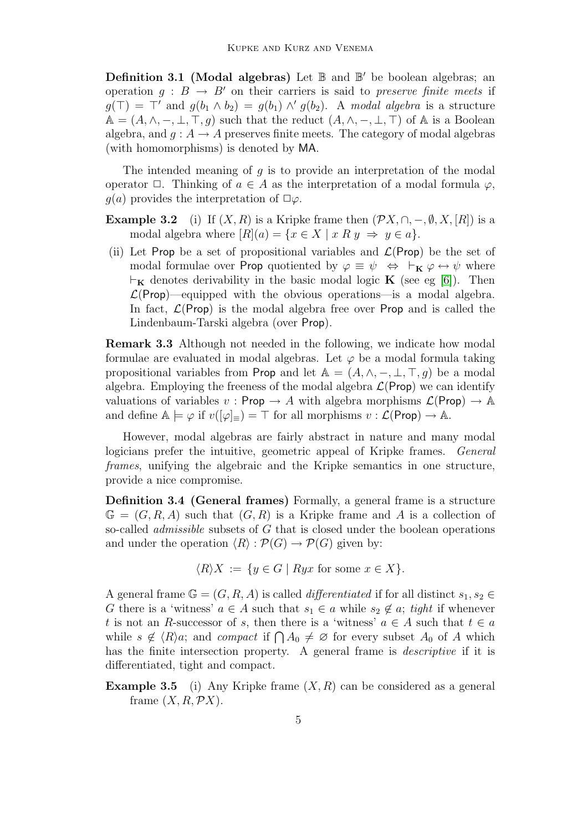Definition 3.1 (Modal algebras) Let  $\mathbb B$  and  $\mathbb B'$  be boolean algebras; an operation  $g : B \to B'$  on their carriers is said to *preserve finite meets* if  $g(\top) = \top'$  and  $g(b_1 \wedge b_2) = g(b_1) \wedge' g(b_2)$ . A modal algebra is a structure  $\mathbb{A} = (A, \wedge, -, \bot, \top, g)$  such that the reduct  $(A, \wedge, -, \bot, \top)$  of  $\mathbb{A}$  is a Boolean algebra, and  $g: A \to A$  preserves finite meets. The category of modal algebras (with homomorphisms) is denoted by MA.

The intended meaning of  $q$  is to provide an interpretation of the modal operator  $\Box$ . Thinking of  $a \in A$  as the interpretation of a modal formula  $\varphi$ ,  $q(a)$  provides the interpretation of  $\Box \varphi$ .

- **Example 3.2** (i) If  $(X, R)$  is a Kripke frame then  $(\mathcal{P}X, \cap, -, \emptyset, X, [R])$  is a modal algebra where  $[R](a) = \{x \in X \mid x \mathbb{R} \mid y \Rightarrow y \in a\}.$
- (ii) Let Prop be a set of propositional variables and  $\mathcal{L}(\mathsf{Prop})$  be the set of modal formulae over Prop quotiented by  $\varphi \equiv \psi \Leftrightarrow \vdash_{\mathbf{K}} \varphi \leftrightarrow \psi$  where  $\vdash_{\mathbf{K}}$  denotes derivability in the basic modal logic **K** (see eg [\[6\]](#page-18-0)). Then  $\mathcal{L}(\text{Prop})$ —equipped with the obvious operations—is a modal algebra. In fact,  $\mathcal{L}(\mathsf{Prop})$  is the modal algebra free over **Prop** and is called the Lindenbaum-Tarski algebra (over Prop).

Remark 3.3 Although not needed in the following, we indicate how modal formulae are evaluated in modal algebras. Let  $\varphi$  be a modal formula taking propositional variables from Prop and let  $\mathbb{A} = (A, \wedge, -, \bot, \top, q)$  be a modal algebra. Employing the freeness of the modal algebra  $\mathcal{L}(\mathsf{Prop})$  we can identify valuations of variables  $v : \mathsf{Prop} \to A$  with algebra morphisms  $\mathcal{L}(\mathsf{Prop}) \to \mathbb{A}$ and define  $\mathbb{A} \models \varphi$  if  $v([\varphi]_{\equiv}) = \top$  for all morphisms  $v : \mathcal{L}(\mathsf{Prop}) \to \mathbb{A}$ .

However, modal algebras are fairly abstract in nature and many modal logicians prefer the intuitive, geometric appeal of Kripke frames. General frames, unifying the algebraic and the Kripke semantics in one structure, provide a nice compromise.

Definition 3.4 (General frames) Formally, a general frame is a structure  $\mathbb{G} = (G, R, A)$  such that  $(G, R)$  is a Kripke frame and A is a collection of so-called *admissible* subsets of G that is closed under the boolean operations and under the operation  $\langle R \rangle : \mathcal{P}(G) \to \mathcal{P}(G)$  given by:

 $\langle R \rangle X := \{ y \in G \mid Ryx \text{ for some } x \in X \}.$ 

A general frame  $\mathbb{G} = (G, R, A)$  is called *differentiated* if for all distinct  $s_1, s_2 \in$ G there is a 'witness'  $a \in A$  such that  $s_1 \in a$  while  $s_2 \notin a$ ; tight if whenever t is not an R-successor of s, then there is a 'witness'  $a \in A$  such that  $t \in a$ while  $s \notin \langle R \rangle a$ ; and *compact* if  $\bigcap A_0 \neq \emptyset$  for every subset  $A_0$  of A which has the finite intersection property. A general frame is descriptive if it is differentiated, tight and compact.

<span id="page-4-0"></span>**Example 3.5** (i) Any Kripke frame  $(X, R)$  can be considered as a general frame  $(X, R, \mathcal{P}X)$ .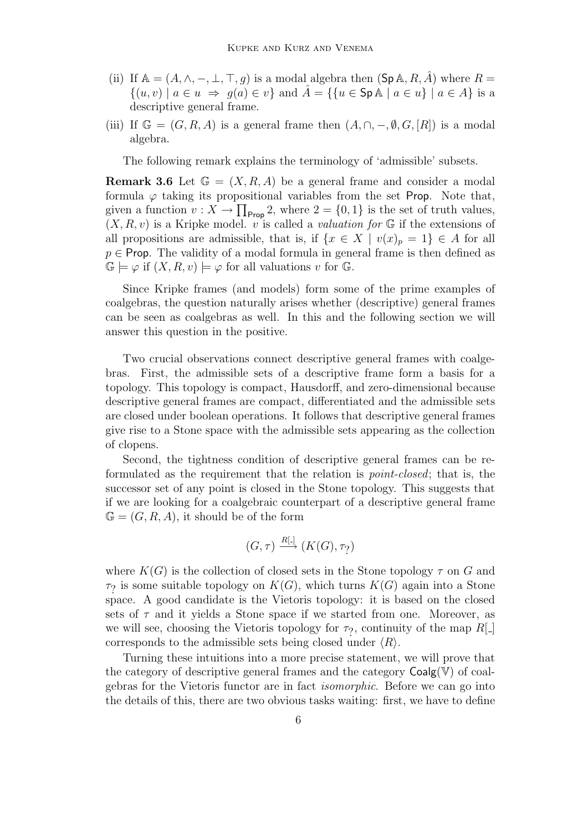- (ii) If  $\mathbb{A} = (A, \wedge, -, \perp, \top, g)$  is a modal algebra then  $(\mathsf{Sp} \mathbb{A}, R, A)$  where  $R =$  $\{(u, v) \mid a \in u \implies g(a) \in v\}$  and  $\hat{A} = \{\{u \in \text{SpA} \mid a \in u\} \mid a \in A\}$  is a descriptive general frame.
- (iii) If  $\mathbb{G} = (G, R, A)$  is a general frame then  $(A, \cap, -, \emptyset, G, [R])$  is a modal algebra.

The following remark explains the terminology of 'admissible' subsets.

**Remark 3.6** Let  $\mathbb{G} = (X, R, A)$  be a general frame and consider a modal formula  $\varphi$  taking its propositional variables from the set Prop. Note that, given a function  $v: X \to \prod_{\text{Prop}} 2$ , where  $2 = \{0, 1\}$  is the set of truth values,  $(X, R, v)$  is a Kripke model. v is called a valuation for G if the extensions of all propositions are admissible, that is, if  $\{x \in X \mid v(x)_p = 1\} \in A$  for all  $p \in$  Prop. The validity of a modal formula in general frame is then defined as  $\mathbb{G} \models \varphi$  if  $(X, R, v) \models \varphi$  for all valuations v for  $\mathbb{G}$ .

Since Kripke frames (and models) form some of the prime examples of coalgebras, the question naturally arises whether (descriptive) general frames can be seen as coalgebras as well. In this and the following section we will answer this question in the positive.

Two crucial observations connect descriptive general frames with coalgebras. First, the admissible sets of a descriptive frame form a basis for a topology. This topology is compact, Hausdorff, and zero-dimensional because descriptive general frames are compact, differentiated and the admissible sets are closed under boolean operations. It follows that descriptive general frames give rise to a Stone space with the admissible sets appearing as the collection of clopens.

Second, the tightness condition of descriptive general frames can be reformulated as the requirement that the relation is point-closed; that is, the successor set of any point is closed in the Stone topology. This suggests that if we are looking for a coalgebraic counterpart of a descriptive general frame  $\mathbb{G} = (G, R, A)$ , it should be of the form

$$
(G, \tau) \xrightarrow{R[\cdot]} (K(G), \tau_?)
$$

where  $K(G)$  is the collection of closed sets in the Stone topology  $\tau$  on G and  $\tau$ ? is some suitable topology on  $K(G)$ , which turns  $K(G)$  again into a Stone space. A good candidate is the Vietoris topology: it is based on the closed sets of  $\tau$  and it yields a Stone space if we started from one. Moreover, as we will see, choosing the Vietoris topology for  $\tau_?$ , continuity of the map  $R[\_]$ corresponds to the admissible sets being closed under  $\langle R \rangle$ .

Turning these intuitions into a more precise statement, we will prove that the category of descriptive general frames and the category  $Coalg(\mathbb{V})$  of coalgebras for the Vietoris functor are in fact isomorphic. Before we can go into the details of this, there are two obvious tasks waiting: first, we have to define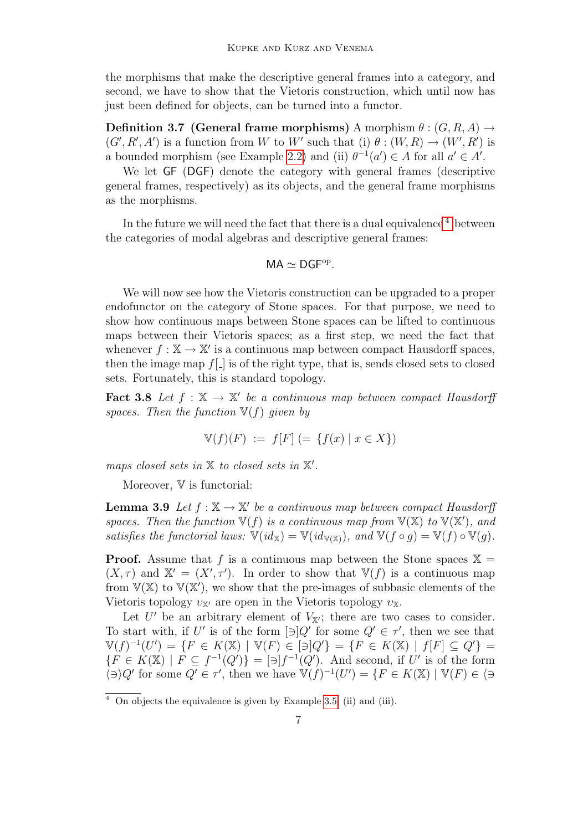the morphisms that make the descriptive general frames into a category, and second, we have to show that the Vietoris construction, which until now has just been defined for objects, can be turned into a functor.

Definition 3.7 (General frame morphisms) A morphism  $\theta$  :  $(G, R, A) \rightarrow$  $(G', R', A')$  is a function from W to W' such that (i)  $\theta : (W, R) \to (W', R')$  is a bounded morphism (see Example [2.2\)](#page-2-0) and (ii)  $\theta^{-1}(a') \in A$  for all  $a' \in A'$ .

We let  $GF$  (DGF) denote the category with general frames (descriptive general frames, respectively) as its objects, and the general frame morphisms as the morphisms.

In the future we will need the fact that there is a dual equivalence  $4$  between the categories of modal algebras and descriptive general frames:

$$
\text{MA} \simeq \text{DGF}^{\text{op}}.
$$

We will now see how the Vietoris construction can be upgraded to a proper endofunctor on the category of Stone spaces. For that purpose, we need to show how continuous maps between Stone spaces can be lifted to continuous maps between their Vietoris spaces; as a first step, we need the fact that whenever  $f : \mathbb{X} \to \mathbb{X}'$  is a continuous map between compact Hausdorff spaces, then the image map  $f[\cdot]$  is of the right type, that is, sends closed sets to closed sets. Fortunately, this is standard topology.

<span id="page-6-1"></span>**Fact 3.8** Let  $f : \mathbb{X} \to \mathbb{X}'$  be a continuous map between compact Hausdorff spaces. Then the function  $\mathbb{V}(f)$  given by

$$
\mathbb{V}(f)(F) := f[F] (= \{ f(x) \mid x \in X \})
$$

maps closed sets in  $X$  to closed sets in  $X'$ .

Moreover,  $\nabla$  is functorial:

**Lemma 3.9** Let  $f : \mathbb{X} \to \mathbb{X}'$  be a continuous map between compact Hausdorff spaces. Then the function  $\mathbb{V}(f)$  is a continuous map from  $\mathbb{V}(\mathbb{X})$  to  $\mathbb{V}(\mathbb{X}')$ , and satisfies the functorial laws:  $\mathbb{V}(id_{\mathbb{X}}) = \mathbb{V}(id_{\mathbb{V}(\mathbb{X})})$ , and  $\mathbb{V}(f \circ g) = \mathbb{V}(f) \circ \mathbb{V}(g)$ .

**Proof.** Assume that f is a continuous map between the Stone spaces  $X =$  $(X, \tau)$  and  $\mathbb{X}' = (X', \tau')$ . In order to show that  $\mathbb{V}(f)$  is a continuous map from  $V(X)$  to  $V(X')$ , we show that the pre-images of subbasic elements of the Vietoris topology  $v_{\mathbf{X}'}$  are open in the Vietoris topology  $v_{\mathbf{X}}$ .

Let U' be an arbitrary element of  $V_{\mathbb{X}}$ ; there are two cases to consider. To start with, if U' is of the form  $\lbrack \ni \rbrack Q'$  for some  $Q' \in \tau'$ , then we see that  $\mathbb{V}(f)^{-1}(U') = \{F \in K(\mathbb{X}) \mid \mathbb{V}(F) \in [\exists Q']\} = \{F \in K(\mathbb{X}) \mid f[F] \subseteq Q'\} =$  ${F \in K(\mathbb{X}) \mid F \subseteq f^{-1}(Q') = [\exists] f^{-1}(Q')}.$  And second, if U' is of the form  $\langle \exists \rangle Q'$  for some  $Q' \in \tau'$ , then we have  $\mathbb{V}(f)^{-1}(U') = \{F \in K(\mathbb{X}) \mid \mathbb{V}(F) \in \langle \exists \rangle\}$ 

<span id="page-6-0"></span> $\overline{4}$  On objects the equivalence is given by Example [3.5,](#page-4-0) (ii) and (iii).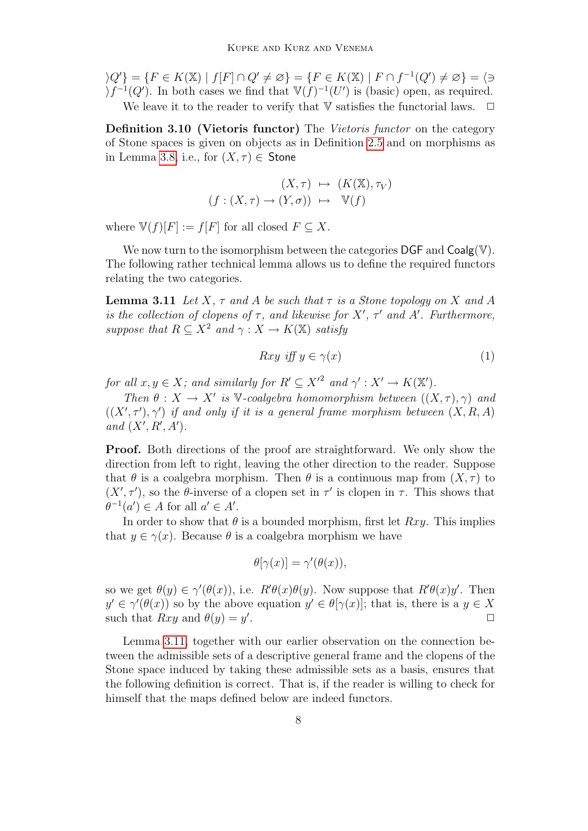$\{Q'\} = \{F \in K(\mathbb{X}) \mid f[F] \cap Q' \neq \emptyset\} = \{F \in K(\mathbb{X}) \mid F \cap f^{-1}(Q') \neq \emptyset\} = \{\emptyset\}$  $\sum_{i=1}^{n} f^{-1}(Q')$ . In both cases we find that  $\mathbb{V}(f)^{-1}(U')$  is (basic) open, as required. We leave it to the reader to verify that  $V$  satisfies the functorial laws.  $\Box$ 

Definition 3.10 (Vietoris functor) The Vietoris functor on the category of Stone spaces is given on objects as in Definition [2.5](#page-2-1) and on morphisms as in Lemma [3.8,](#page-6-1) i.e., for  $(X, \tau) \in$  Stone

$$
(X, \tau) \mapsto (K(\mathbb{X}), \tau_V)
$$
  

$$
(f : (X, \tau) \to (Y, \sigma)) \mapsto \mathbb{V}(f)
$$

where  $\mathbb{V}(f)[F] := f[F]$  for all closed  $F \subseteq X$ .

We now turn to the isomorphism between the categories  $\mathsf{DGF}$  and  $\mathsf{Coalg}(\mathbb{V})$ . The following rather technical lemma allows us to define the required functors relating the two categories.

<span id="page-7-0"></span>**Lemma 3.11** Let X,  $\tau$  and A be such that  $\tau$  is a Stone topology on X and A is the collection of clopens of  $\tau$ , and likewise for X',  $\tau'$  and A'. Furthermore, suppose that  $R \subseteq X^2$  and  $\gamma : X \to K(\mathbb{X})$  satisfy

$$
Rxy \text{ iff } y \in \gamma(x) \tag{1}
$$

for all  $x, y \in X$ ; and similarly for  $R' \subseteq X'^2$  and  $\gamma' : X' \to K(\mathbb{X}')$ .

Then  $\theta: X \to X'$  is V-coalgebra homomorphism between  $((X, \tau), \gamma)$  and  $((X', \tau'), \gamma')$  if and only if it is a general frame morphism between  $(X, R, A)$ and  $(X', R', A')$ .

Proof. Both directions of the proof are straightforward. We only show the direction from left to right, leaving the other direction to the reader. Suppose that  $\theta$  is a coalgebra morphism. Then  $\theta$  is a continuous map from  $(X, \tau)$  to  $(X', \tau')$ , so the  $\theta$ -inverse of a clopen set in  $\tau'$  is clopen in  $\tau$ . This shows that  $\theta^{-1}(a') \in A$  for all  $a' \in A'$ .

In order to show that  $\theta$  is a bounded morphism, first let  $Rxy$ . This implies that  $y \in \gamma(x)$ . Because  $\theta$  is a coalgebra morphism we have

$$
\theta[\gamma(x)] = \gamma'(\theta(x)),
$$

so we get  $\theta(y) \in \gamma'(\theta(x))$ , i.e.  $R'\theta(x)\theta(y)$ . Now suppose that  $R'\theta(x)y'$ . Then  $y' \in \gamma'(\theta(x))$  so by the above equation  $y' \in \theta[\gamma(x)]$ ; that is, there is a  $y \in X$ such that  $Rxy$  and  $\theta(y) = y'$ . The contract of the contract of  $\Box$ 

Lemma [3.11,](#page-7-0) together with our earlier observation on the connection between the admissible sets of a descriptive general frame and the clopens of the Stone space induced by taking these admissible sets as a basis, ensures that the following definition is correct. That is, if the reader is willing to check for himself that the maps defined below are indeed functors.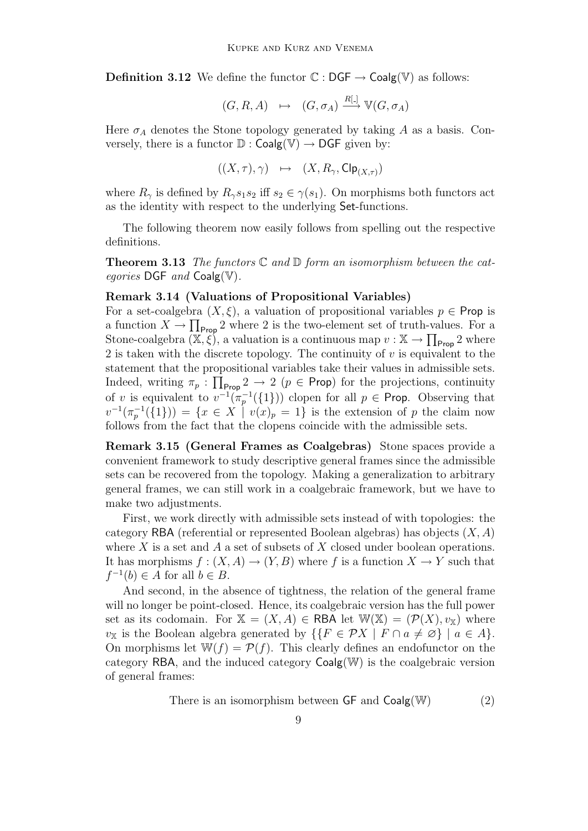**Definition 3.12** We define the functor  $\mathbb{C} : \mathsf{DGF} \to \mathsf{Coalg}(\mathbb{V})$  as follows:

$$
(G, R, A) \mapsto (G, \sigma_A) \xrightarrow{R[\cdot]} \mathbb{V}(G, \sigma_A)
$$

Here  $\sigma_A$  denotes the Stone topology generated by taking A as a basis. Conversely, there is a functor  $\mathbb{D}$  : Coalg(V)  $\rightarrow$  DGF given by:

 $((X, \tau), \gamma) \mapsto (X, R_{\gamma}, \mathsf{Clp}_{(X,\tau)})$ 

where  $R_{\gamma}$  is defined by  $R_{\gamma}s_1s_2$  iff  $s_2 \in \gamma(s_1)$ . On morphisms both functors act as the identity with respect to the underlying Set-functions.

The following theorem now easily follows from spelling out the respective definitions.

<span id="page-8-1"></span>**Theorem 3.13** The functors  $\mathbb C$  and  $\mathbb D$  form an isomorphism between the categories  $\text{DGF}$  and  $\text{Coalg}(\mathbb{V})$ .

# Remark 3.14 (Valuations of Propositional Variables)

For a set-coalgebra  $(X, \xi)$ , a valuation of propositional variables  $p \in \text{Prop}$  is a function  $X \to \prod_{\text{Prop}} 2$  where 2 is the two-element set of truth-values. For a Stone-coalgebra  $(\mathbb{X}, \xi)$ , a valuation is a continuous map  $v : \mathbb{X} \to \prod_{\text{Prop}} 2$  where 2 is taken with the discrete topology. The continuity of  $v$  is equivalent to the statement that the propositional variables take their values in admissible sets. Indeed, writing  $\pi_p : \prod_{\text{Prop}} 2 \to 2$  ( $p \in \text{Prop}$ ) for the projections, continuity of v is equivalent to  $v^{-1}(\pi_p^{-1}(\{1\}))$  clopen for all  $p \in \text{Prop.}$  Observing that  $v^{-1}(\pi_p^{-1}(\{1\})) = \{x \in X \mid v(x)_p = 1\}$  is the extension of p the claim now follows from the fact that the clopens coincide with the admissible sets.

Remark 3.15 (General Frames as Coalgebras) Stone spaces provide a convenient framework to study descriptive general frames since the admissible sets can be recovered from the topology. Making a generalization to arbitrary general frames, we can still work in a coalgebraic framework, but we have to make two adjustments.

First, we work directly with admissible sets instead of with topologies: the category RBA (referential or represented Boolean algebras) has objects  $(X, A)$ where  $X$  is a set and  $A$  a set of subsets of  $X$  closed under boolean operations. It has morphisms  $f : (X, A) \to (Y, B)$  where f is a function  $X \to Y$  such that  $f^{-1}(b) \in A$  for all  $b \in B$ .

And second, in the absence of tightness, the relation of the general frame will no longer be point-closed. Hence, its coalgebraic version has the full power set as its codomain. For  $X = (X, A) \in \mathsf{RBA}$  let  $\mathbb{W}(\mathbb{X}) = (\mathcal{P}(X), v_{\mathbb{X}})$  where v<sub>X</sub> is the Boolean algebra generated by  $\{ \{ F \in \mathcal{P}X \mid F \cap a \neq \emptyset \} \mid a \in A \}.$ On morphisms let  $\mathbb{W}(f) = \mathcal{P}(f)$ . This clearly defines an endofunctor on the category RBA, and the induced category Coalg(W) is the coalgebraic version of general frames:

<span id="page-8-0"></span>There is an isomorphism between  $GF$  and  $Coalg(W)$  (2)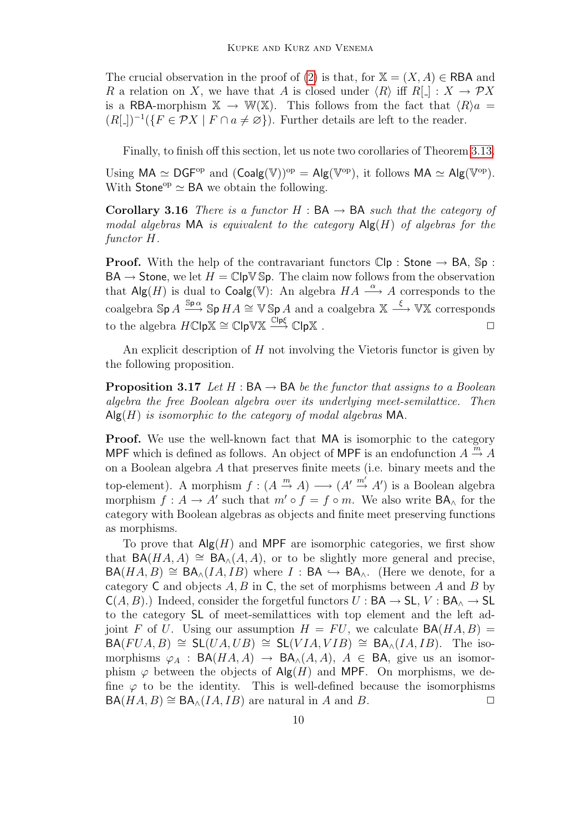The crucial observation in the proof of [\(2\)](#page-8-0) is that, for  $X = (X, A) \in \mathsf{RBA}$  and R a relation on X, we have that A is closed under  $\langle R \rangle$  iff  $R[\ ] : X \to \mathcal{P}X$ is a RBA-morphism  $\mathbb{X} \to \mathbb{W}(\mathbb{X})$ . This follows from the fact that  $\langle R \rangle a =$  $(R[\_])^{-1}(\lbrace F \in \mathcal{P}X \mid F \cap a \neq \emptyset \rbrace)$ . Further details are left to the reader.

Finally, to finish off this section, let us note two corollaries of Theorem [3.13.](#page-8-1)

Using  $MA \simeq DGF^{op}$  and  $(Coalg(\mathbb{V}))^{op} = Alg(\mathbb{V}^{op})$ , it follows  $MA \simeq Alg(\mathbb{V}^{op})$ . With Stone<sup>op</sup>  $\simeq$  BA we obtain the following.

Corollary 3.16 There is a functor  $H : BA \rightarrow BA$  such that the category of modal algebras MA is equivalent to the category  $\mathsf{Alg}(H)$  of algebras for the functor H.

**Proof.** With the help of the contravariant functors  $\mathbb{C}|\mathsf{p}$ : Stone  $\rightarrow$  BA,  $\mathbb{S}\mathsf{p}$ :  $BA \rightarrow$  Stone, we let  $H = \mathbb{C} \cdot \mathbb{P} \cdot \mathbb{S}$  The claim now follows from the observation that Alg(H) is dual to Coalg(V): An algebra  $HA \stackrel{\alpha}{\longrightarrow} A$  corresponds to the coalgebra  $\text{Sp }A \xrightarrow{\text{Sp }\alpha} \text{Sp }HA \cong \text{V Sp }A$  and a coalgebra  $\mathbb{X} \xrightarrow{\xi} \text{VX}$  corresponds to the algebra  $H\mathbb{C} \not\subset \mathbb{C} \not\subset \mathbb{C} \not\subset \mathbb{C} \not\subset \mathbb{C} \not\subset \mathbb{C} \not\subset \mathbb{C}$ .  $\Box$ 

An explicit description of  $H$  not involving the Vietoris functor is given by the following proposition.

**Proposition 3.17** Let H :  $BA \rightarrow BA$  be the functor that assigns to a Boolean algebra the free Boolean algebra over its underlying meet-semilattice. Then  $\mathsf{Alg}(H)$  is isomorphic to the category of modal algebras MA.

**Proof.** We use the well-known fact that MA is isomorphic to the category MPF which is defined as follows. An object of MPF is an endofunction  $A \stackrel{m}{\rightarrow} A$ on a Boolean algebra A that preserves finite meets (i.e. binary meets and the top-element). A morphism  $f : (A \stackrel{m}{\rightarrow} A) \longrightarrow (A' \stackrel{m'}{\rightarrow} A')$  is a Boolean algebra morphism  $f : A \to A'$  such that  $m' \circ f = f \circ m$ . We also write  $BA_{\wedge}$  for the category with Boolean algebras as objects and finite meet preserving functions as morphisms.

To prove that  $\mathsf{Alg}(H)$  and MPF are isomorphic categories, we first show that  $BA(HA, A) \cong BA_{\Lambda}(A, A)$ , or to be slightly more general and precise,  $BA(HA, B) \cong BA_{\wedge}(IA, IB)$  where  $I : BA \hookrightarrow BA_{\wedge}$ . (Here we denote, for a category  $C$  and objects  $A, B$  in  $C$ , the set of morphisms between  $A$  and  $B$  by  $C(A, B)$ .) Indeed, consider the forgetful functors  $U : BA \rightarrow SL$ ,  $V : BA \rightarrow SL$ to the category SL of meet-semilattices with top element and the left adjoint F of U. Using our assumption  $H = FU$ , we calculate  $BA(HA, B) =$  $BA(FUA, B) \cong SL(UA, UB) \cong SL(VIA, VIB) \cong BA_{\wedge}(IA, IB)$ . The isomorphisms  $\varphi_A$  : BA(HA, A)  $\rightarrow$  BA<sub> $\wedge$ </sub>(A, A), A  $\in$  BA, give us an isomorphism  $\varphi$  between the objects of Alg(H) and MPF. On morphisms, we define  $\varphi$  to be the identity. This is well-defined because the isomorphisms  $BA(HA, B) \cong BA_{\wedge}(IA, IB)$  are natural in A and B.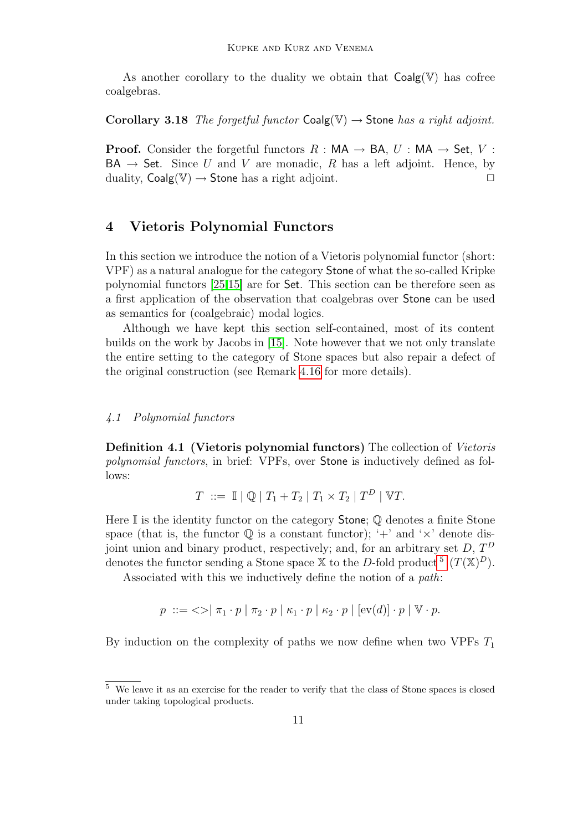As another corollary to the duality we obtain that  $Coalg(\mathbb{V})$  has cofree coalgebras.

Corollary 3.18 The forgetful functor  $Coalg(V) \rightarrow$  Stone has a right adjoint.

**Proof.** Consider the forgetful functors  $R : MA \rightarrow BA$ ,  $U : MA \rightarrow Set$ ,  $V$ :  $BA \rightarrow$  Set. Since U and V are monadic, R has a left adjoint. Hence, by duality,  $Coalg(V) \rightarrow$  Stone has a right adjoint.

# <span id="page-10-0"></span>4 Vietoris Polynomial Functors

In this section we introduce the notion of a Vietoris polynomial functor (short: VPF) as a natural analogue for the category Stone of what the so-called Kripke polynomial functors [\[25,](#page-20-0)[15\]](#page-19-3) are for Set. This section can be therefore seen as a first application of the observation that coalgebras over Stone can be used as semantics for (coalgebraic) modal logics.

Although we have kept this section self-contained, most of its content builds on the work by Jacobs in [\[15\]](#page-19-3). Note however that we not only translate the entire setting to the category of Stone spaces but also repair a defect of the original construction (see Remark [4.16](#page-16-0) for more details).

## 4.1 Polynomial functors

Definition 4.1 (Vietoris polynomial functors) The collection of Vietoris polynomial functors, in brief: VPFs, over Stone is inductively defined as follows:

$$
T \ ::= \ \mathbb{I} \mid \mathbb{Q} \mid T_1 + T_2 \mid T_1 \times T_2 \mid T^D \mid \mathbb{V}T.
$$

Here  $\mathbb I$  is the identity functor on the category **Stone**;  $\mathbb Q$  denotes a finite Stone space (that is, the functor  $\mathbb Q$  is a constant functor); '+' and ' $\times$ ' denote disjoint union and binary product, respectively; and, for an arbitrary set  $D, T^D$ denotes the functor sending a Stone space X to the D-fold product  $(1)^5$  $(1)^5$   $(T(\mathbb{X})^D)$ .

Associated with this we inductively define the notion of a path:

$$
p ::= \langle \rangle \mid \pi_1 \cdot p \mid \pi_2 \cdot p \mid \kappa_1 \cdot p \mid \kappa_2 \cdot p \mid [ev(d)] \cdot p \mid \mathbb{V} \cdot p.
$$

By induction on the complexity of paths we now define when two VPFs  $T_1$ 

<span id="page-10-1"></span><sup>5</sup> We leave it as an exercise for the reader to verify that the class of Stone spaces is closed under taking topological products.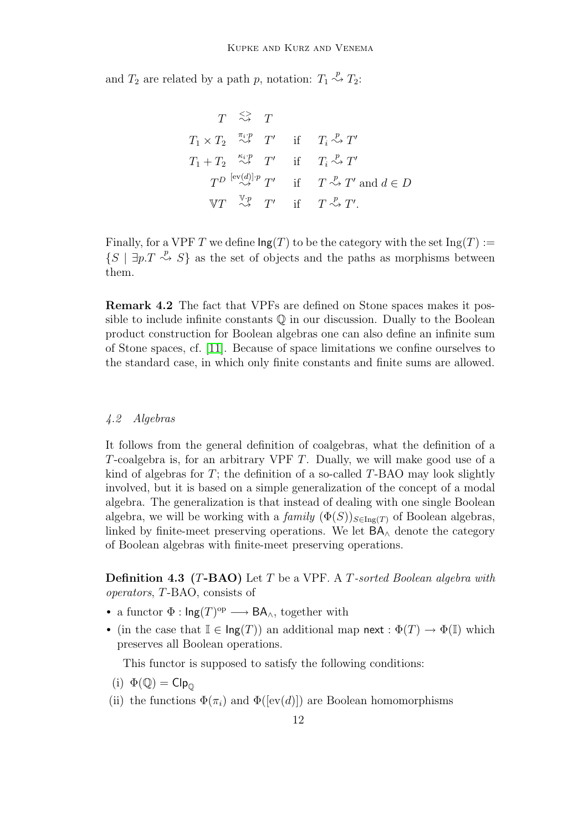and  $T_2$  are related by a path p, notation:  $T_1 \stackrel{p}{\rightsquigarrow} T_2$ :

$$
T \overset{\text{def}}{\Leftrightarrow} T
$$
\n
$$
T_1 \times T_2 \overset{\pi_i \cdot p}{\Leftrightarrow} T' \quad \text{if} \quad T_i \overset{p}{\Leftrightarrow} T'
$$
\n
$$
T_1 + T_2 \overset{\kappa_i \cdot p}{\Leftrightarrow} T' \quad \text{if} \quad T_i \overset{p}{\Leftrightarrow} T'
$$
\n
$$
T^D \overset{[ev(d)]}{\Leftrightarrow} T' \quad \text{if} \quad T \overset{p}{\Leftrightarrow} T' \text{ and } d \in D
$$
\n
$$
\mathbb{V}T \overset{\mathbb{V} \cdot p}{\Leftrightarrow} T' \quad \text{if} \quad T \overset{p}{\Leftrightarrow} T'.
$$

Finally, for a VPF T we define  $\text{Ing}(T)$  to be the category with the set  $\text{Ing}(T) :=$  $\{S \mid \exists p.T \stackrel{p}{\leadsto} S\}$  as the set of objects and the paths as morphisms between them.

Remark 4.2 The fact that VPFs are defined on Stone spaces makes it possible to include infinite constants  $\mathbb Q$  in our discussion. Dually to the Boolean product construction for Boolean algebras one can also define an infinite sum of Stone spaces, cf. [\[11\]](#page-19-10). Because of space limitations we confine ourselves to the standard case, in which only finite constants and finite sums are allowed.

## 4.2 Algebras

It follows from the general definition of coalgebras, what the definition of a T-coalgebra is, for an arbitrary VPF T. Dually, we will make good use of a kind of algebras for  $T$ ; the definition of a so-called  $T$ -BAO may look slightly involved, but it is based on a simple generalization of the concept of a modal algebra. The generalization is that instead of dealing with one single Boolean algebra, we will be working with a family  $(\Phi(S))_{S\in\text{Ing}(T)}$  of Boolean algebras, linked by finite-meet preserving operations. We let  $BA<sub>∧</sub>$  denote the category of Boolean algebras with finite-meet preserving operations.

<span id="page-11-0"></span>**Definition 4.3 (T-BAO)** Let T be a VPF. A T-sorted Boolean algebra with operators, T-BAO, consists of

- a functor  $\Phi : \mathsf{Ing}(T)^{op} \longrightarrow \mathsf{BA}_{\wedge},$  together with
- (in the case that  $\mathbb{I} \in \text{Ing}(T)$ ) an additional map next :  $\Phi(T) \to \Phi(\mathbb{I})$  which preserves all Boolean operations.

This functor is supposed to satisfy the following conditions:

(i) 
$$
\Phi(\mathbb{Q}) = \mathsf{Clp}_{\mathbb{Q}}
$$

(ii) the functions  $\Phi(\pi_i)$  and  $\Phi([\text{ev}(d)])$  are Boolean homomorphisms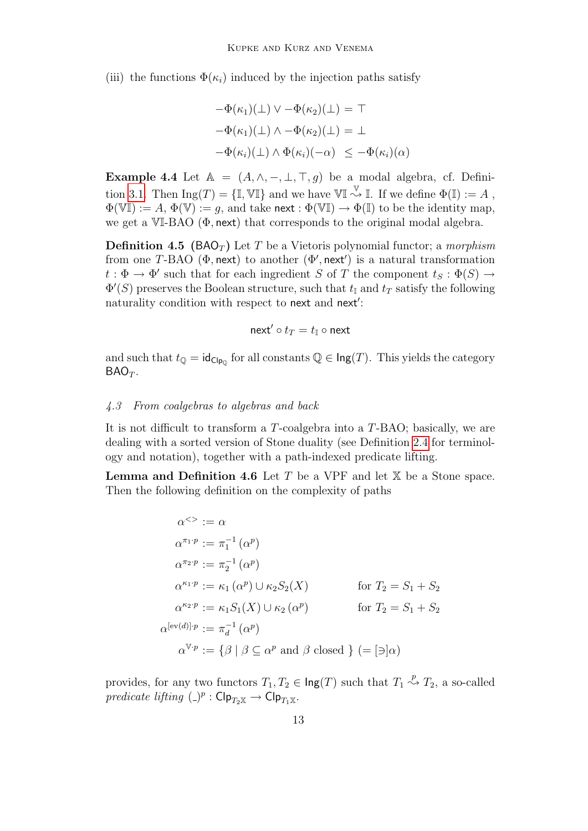(iii) the functions  $\Phi(\kappa_i)$  induced by the injection paths satisfy

$$
-\Phi(\kappa_1)(\bot) \vee -\Phi(\kappa_2)(\bot) = \top
$$
  

$$
-\Phi(\kappa_1)(\bot) \wedge -\Phi(\kappa_2)(\bot) = \bot
$$
  

$$
-\Phi(\kappa_i)(\bot) \wedge \Phi(\kappa_i)(-\alpha) \le -\Phi(\kappa_i)(\alpha)
$$

Example 4.4 Let  $A = (A, \wedge, -, \perp, \top, g)$  be a modal algebra, cf. Defini-tion [3.1.](#page-3-1) Then  $\text{Ing}(T) = \{\mathbb{I}, \mathbb{V}\mathbb{I}\}\$ and we have  $\mathbb{V}\mathbb{I} \stackrel{\mathbb{V}}{\rightsquigarrow} \mathbb{I}$ . If we define  $\Phi(\mathbb{I}) := A$ ,  $\Phi(\mathbb{VI}) := A, \Phi(\mathbb{V}) := g$ , and take next :  $\Phi(\mathbb{VI}) \to \Phi(\mathbb{I})$  to be the identity map, we get a VI-BAO (Φ, next) that corresponds to the original modal algebra.

<span id="page-12-0"></span>**Definition 4.5** (BAO<sub>T</sub>) Let T be a Vietoris polynomial functor; a morphism from one T-BAO ( $\Phi$ , next) to another  $(\Phi'$ , next') is a natural transformation  $t : \Phi \to \Phi'$  such that for each ingredient S of T the component  $t_S : \Phi(S) \to$  $\Phi'(S)$  preserves the Boolean structure, such that  $t_{\mathbb{I}}$  and  $t_T$  satisfy the following naturality condition with respect to next and next':

$$
\mathsf{next}' \circ t_T = t_\mathbb{I} \circ \mathsf{next}
$$

and such that  $t_{\mathbb{Q}} = id_{\mathsf{Clp}_{0}}$  for all constants  $\mathbb{Q} \in \mathsf{Ing}(T)$ . This yields the category  $BAO_T$ .

## 4.3 From coalgebras to algebras and back

It is not difficult to transform a T-coalgebra into a T-BAO; basically, we are dealing with a sorted version of Stone duality (see Definition [2.4](#page-2-2) for terminology and notation), together with a path-indexed predicate lifting.

**Lemma and Definition 4.6** Let  $T$  be a VPF and let  $X$  be a Stone space. Then the following definition on the complexity of paths

$$
\alpha^{>} := \alpha
$$
\n
$$
\alpha^{\pi_1 \cdot p} := \pi_1^{-1}(\alpha^p)
$$
\n
$$
\alpha^{\pi_2 \cdot p} := \pi_2^{-1}(\alpha^p)
$$
\n
$$
\alpha^{\kappa_1 \cdot p} := \kappa_1(\alpha^p) \cup \kappa_2 S_2(X) \qquad \text{for } T_2 = S_1 + S_2
$$
\n
$$
\alpha^{\kappa_2 \cdot p} := \kappa_1 S_1(X) \cup \kappa_2(\alpha^p) \qquad \text{for } T_2 = S_1 + S_2
$$
\n
$$
\alpha^{[ev(d)] \cdot p} := \pi_d^{-1}(\alpha^p)
$$
\n
$$
\alpha^{\mathbb{V} \cdot p} := \{\beta \mid \beta \subseteq \alpha^p \text{ and } \beta \text{ closed } \} (= [\exists] \alpha)
$$

provides, for any two functors  $T_1, T_2 \in \text{Ing}(T)$  such that  $T_1 \stackrel{p}{\rightsquigarrow} T_2$ , a so-called predicate lifting  $(\_)^p : \mathsf{Clp}_{T_2\mathbb{X}} \to \mathsf{Clp}_{T_1\mathbb{X}}.$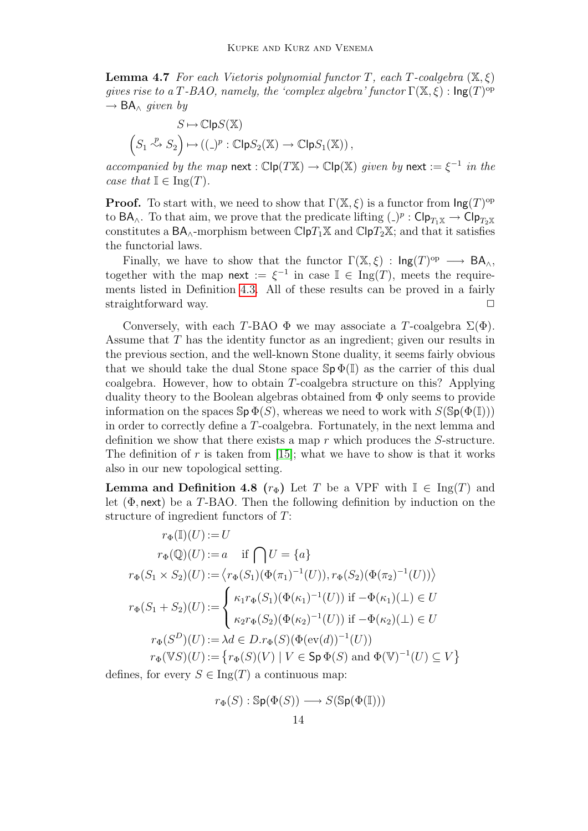**Lemma 4.7** For each Vietoris polynomial functor T, each T-coalgebra  $(\mathbb{X}, \xi)$ gives rise to a T-BAO, namely, the 'complex algebra' functor  $\Gamma(\mathbb{X}, \xi)$  :  $\mathsf{Ing}(T)^\text{op}$  $\rightarrow$  BA<sub> $\land$ </sub> given by

$$
S \mapsto \mathbb{C}\mathsf{lp} S(\mathbb{X})
$$

$$
\left(S_1 \stackrel{p}{\leadsto} S_2\right) \mapsto \left((-)^p : \mathbb{C}\mathsf{lp} S_2(\mathbb{X}) \to \mathbb{C}\mathsf{lp} S_1(\mathbb{X})\right),
$$

accompanied by the map next :  $\mathbb{C}\mathsf{lp}(T\mathbb{X}) \to \mathbb{C}\mathsf{lp}(\mathbb{X})$  given by next  $:= \xi^{-1}$  in the case that  $\mathbb{I} \in \text{Ing}(T)$ .

**Proof.** To start with, we need to show that  $\Gamma(\mathbb{X}, \xi)$  is a functor from  $\text{Ing}(T)^{\text{op}}$ to  $BA_{\wedge}$ . To that aim, we prove that the predicate lifting  $(\_)^p : \mathsf{Clp}_{T_1\mathbb{X}} \to \mathsf{Clp}_{T_2\mathbb{X}}$ constitutes a  $BA_{\wedge}$ -morphism between  $\mathbb{C}[pT_1\mathbb{X}]$  and  $\mathbb{C}[pT_2\mathbb{X}]$ ; and that it satisfies the functorial laws.

Finally, we have to show that the functor  $\Gamma(\mathbb{X}, \xi)$  :  $\mathsf{Ing}(T)^\text{op} \longrightarrow \mathsf{BA}_{\wedge}$ , together with the map next :=  $\xi^{-1}$  in case  $\mathbb{I} \in \text{Ing}(T)$ , meets the requirements listed in Definition [4.3.](#page-11-0) All of these results can be proved in a fairly straightforward way.

Conversely, with each T-BAO  $\Phi$  we may associate a T-coalgebra  $\Sigma(\Phi)$ . Assume that T has the identity functor as an ingredient; given our results in the previous section, and the well-known Stone duality, it seems fairly obvious that we should take the dual Stone space  $\operatorname{Sp} \Phi(\mathbb{I})$  as the carrier of this dual coalgebra. However, how to obtain T-coalgebra structure on this? Applying duality theory to the Boolean algebras obtained from  $\Phi$  only seems to provide information on the spaces  $\text{Sp } \Phi(S)$ , whereas we need to work with  $S(\text{Sp}(\Phi(\mathbb{I})))$ in order to correctly define a T-coalgebra. Fortunately, in the next lemma and definition we show that there exists a map r which produces the S-structure. The definition of r is taken from  $[15]$ ; what we have to show is that it works also in our new topological setting.

**Lemma and Definition 4.8**  $(r_{\Phi})$  Let T be a VPF with  $\mathbb{I} \in \text{Ing}(T)$  and let  $(\Phi, \text{next})$  be a T-BAO. Then the following definition by induction on the structure of ingredient functors of T:

$$
r_{\Phi}(\mathbb{I})(U) := U
$$
  
\n
$$
r_{\Phi}(\mathbb{Q})(U) := a \quad \text{if } \bigcap U = \{a\}
$$
  
\n
$$
r_{\Phi}(S_1 \times S_2)(U) := \langle r_{\Phi}(S_1)(\Phi(\pi_1)^{-1}(U)), r_{\Phi}(S_2)(\Phi(\pi_2)^{-1}(U)) \rangle
$$
  
\n
$$
r_{\Phi}(S_1 + S_2)(U) := \begin{cases} \kappa_1 r_{\Phi}(S_1)(\Phi(\kappa_1)^{-1}(U)) \text{ if } -\Phi(\kappa_1)(\bot) \in U \\ \kappa_2 r_{\Phi}(S_2)(\Phi(\kappa_2)^{-1}(U)) \text{ if } -\Phi(\kappa_2)(\bot) \in U \end{cases}
$$
  
\n
$$
r_{\Phi}(S^D)(U) := \lambda d \in D.r_{\Phi}(S)(\Phi(\text{ev}(d))^{-1}(U))
$$
  
\n
$$
r_{\Phi}(\mathbb{V}S)(U) := \{r_{\Phi}(S)(V) \mid V \in \text{Sp } \Phi(S) \text{ and } \Phi(\mathbb{V})^{-1}(U) \subseteq V\}
$$

defines, for every  $S \in \text{Ing}(T)$  a continuous map:

$$
r_{\Phi}(S) : \mathsf{Sp}(\Phi(S)) \longrightarrow S(\mathsf{Sp}(\Phi(\mathbb{I})))
$$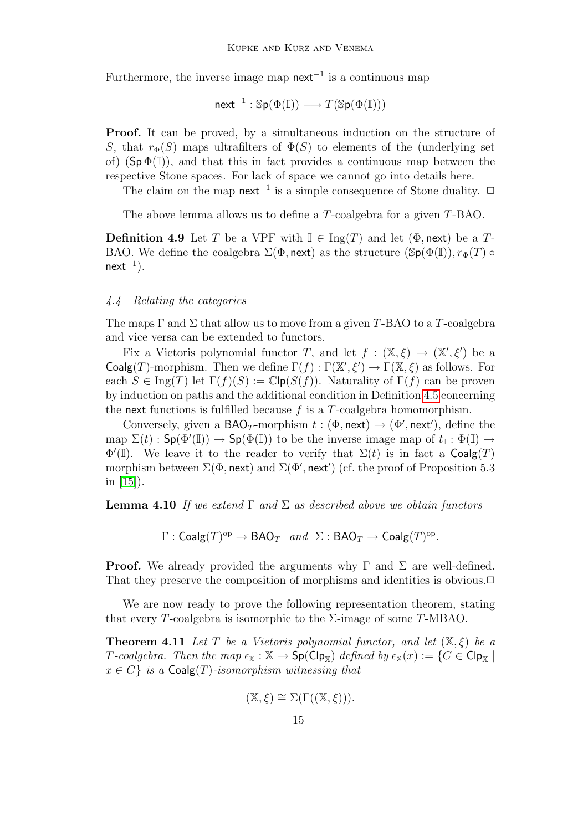Furthermore, the inverse image map  $next^{-1}$  is a continuous map

$$
\mathsf{next}^{-1} : \mathbb{Sp}(\Phi(\mathbb{I})) \longrightarrow T(\mathbb{Sp}(\Phi(\mathbb{I})))
$$

Proof. It can be proved, by a simultaneous induction on the structure of S, that  $r_{\Phi}(S)$  maps ultrafilters of  $\Phi(S)$  to elements of the (underlying set of)  $(Sp \Phi(\mathbb{I}))$ , and that this in fact provides a continuous map between the respective Stone spaces. For lack of space we cannot go into details here.

The claim on the map next<sup>-1</sup> is a simple consequence of Stone duality.  $\Box$ 

The above lemma allows us to define a T-coalgebra for a given T-BAO.

**Definition 4.9** Let T be a VPF with  $\mathbb{I} \in \text{Ing}(T)$  and let  $(\Phi, \text{next})$  be a T-BAO. We define the coalgebra  $\Sigma(\Phi, \text{next})$  as the structure  $(\text{Sp}(\Phi(\mathbb{I}))$ ,  $r_{\Phi}(T)$   $\circ$  $next^{-1}$ ).

#### 4.4 Relating the categories

The maps  $\Gamma$  and  $\Sigma$  that allow us to move from a given T-BAO to a T-coalgebra and vice versa can be extended to functors.

Fix a Vietoris polynomial functor T, and let  $f : (\mathbb{X}, \xi) \to (\mathbb{X}', \xi')$  be a Coalg(T)-morphism. Then we define  $\Gamma(f) : \Gamma(\mathbb{X}', \xi') \to \Gamma(\mathbb{X}, \xi)$  as follows. For each  $S \in \text{Ing}(T)$  let  $\Gamma(f)(S) := \mathbb{C}[\mathsf{p}(S(f))]$ . Naturality of  $\Gamma(f)$  can be proven by induction on paths and the additional condition in Definition [4.5](#page-12-0) concerning the next functions is fulfilled because  $f$  is a  $T$ -coalgebra homomorphism.

Conversely, given a BAO<sub>T</sub>-morphism  $t : (\Phi, \text{next}) \to (\Phi', \text{next}')$ , define the map  $\Sigma(t)$ :  $\mathsf{Sp}(\Phi'(\mathbb{I})) \to \mathsf{Sp}(\Phi(\mathbb{I}))$  to be the inverse image map of  $t_{\mathbb{I}} : \Phi(\mathbb{I}) \to$  $\Phi'(\mathbb{I})$ . We leave it to the reader to verify that  $\Sigma(t)$  is in fact a Coalg(T) morphism between  $\Sigma(\Phi, \text{next})$  and  $\Sigma(\Phi', \text{next}')$  (cf. the proof of Proposition 5.3 in [\[15\]](#page-19-3)).

**Lemma 4.10** If we extend  $\Gamma$  and  $\Sigma$  as described above we obtain functors

 $\Gamma : \mathsf{Coalg}(T)^{op} \to \mathsf{BAO}_T \ \ \textit{and} \ \ \Sigma : \mathsf{BAO}_T \to \mathsf{Coalg}(T)^{op}.$ 

**Proof.** We already provided the arguments why  $\Gamma$  and  $\Sigma$  are well-defined. That they preserve the composition of morphisms and identities is obvious. $\Box$ 

We are now ready to prove the following representation theorem, stating that every T-coalgebra is isomorphic to the  $\Sigma$ -image of some T-MBAO.

**Theorem 4.11** Let T be a Vietoris polynomial functor, and let  $(\mathbb{X}, \xi)$  be a T-coalgebra. Then the map  $\epsilon_{\mathbb{X}} : \mathbb{X} \to \mathsf{Sp}(\mathsf{Cip}_{\mathbb{X}})$  defined by  $\epsilon_{\mathbb{X}}(x) := \{C \in \mathsf{Cip}_{\mathbb{X}} \mid$  $x \in C$  is a Coalg(T)-isomorphism witnessing that

$$
(\mathbb{X},\xi) \cong \Sigma(\Gamma((\mathbb{X},\xi))).
$$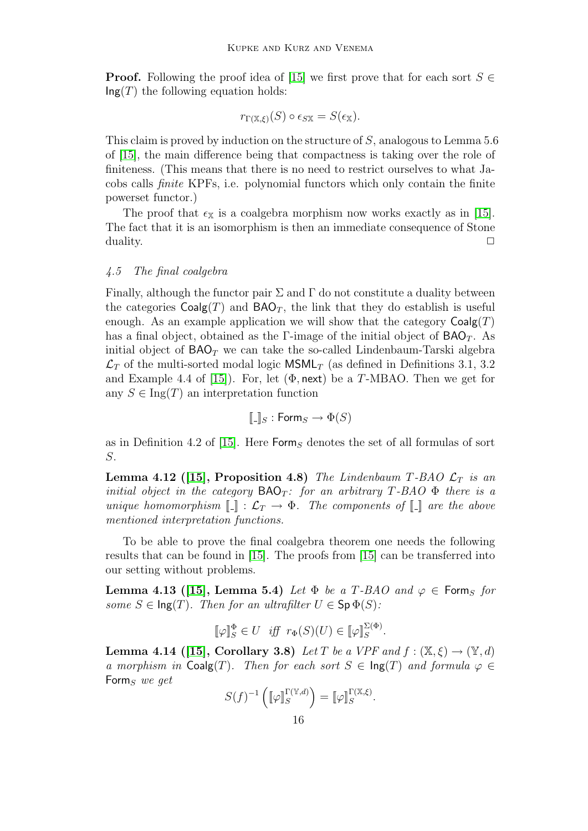**Proof.** Following the proof idea of [\[15\]](#page-19-3) we first prove that for each sort  $S \in$  $\mathsf{Ing}(T)$  the following equation holds:

$$
r_{\Gamma(\mathbb{X},\xi)}(S) \circ \epsilon_{S\mathbb{X}} = S(\epsilon_{\mathbb{X}}).
$$

This claim is proved by induction on the structure of S, analogous to Lemma 5.6 of [\[15\]](#page-19-3), the main difference being that compactness is taking over the role of finiteness. (This means that there is no need to restrict ourselves to what Jacobs calls finite KPFs, i.e. polynomial functors which only contain the finite powerset functor.)

The proof that  $\epsilon_{\mathbb{X}}$  is a coalgebra morphism now works exactly as in [\[15\]](#page-19-3). The fact that it is an isomorphism is then an immediate consequence of Stone  $\Box$ 

#### 4.5 The final coalgebra

Finally, although the functor pair  $\Sigma$  and  $\Gamma$  do not constitute a duality between the categories  $Coalg(T)$  and  $BAO_T$ , the link that they do establish is useful enough. As an example application we will show that the category  $Coalg(T)$ has a final object, obtained as the Γ-image of the initial object of  $BAO<sub>T</sub>$ . As initial object of  $BAO<sub>T</sub>$  we can take the so-called Lindenbaum-Tarski algebra  $\mathcal{L}_T$  of the multi-sorted modal logic MSML<sub>T</sub> (as defined in Definitions 3.1, 3.2) and Example 4.4 of [\[15\]](#page-19-3)). For, let  $(\Phi, \text{next})$  be a T-MBAO. Then we get for any  $S \in \text{Ing}(T)$  an interpretation function

$$
[\![.]_S : \mathsf{Form}_S \to \Phi(S)
$$

as in Definition 4.2 of [\[15\]](#page-19-3). Here  $\mathsf{Form}_S$  denotes the set of all formulas of sort S.

<span id="page-15-0"></span>**Lemma 4.12 ([\[15\]](#page-19-3), Proposition 4.8)** The Lindenbaum T-BAO  $\mathcal{L}_T$  is an initial object in the category  $BAO_T$ : for an arbitrary T-BAO  $\Phi$  there is a unique homomorphism  $\llbracket \cdot \rrbracket : \mathcal{L}_T \to \Phi$ . The components of  $\llbracket \cdot \rrbracket$  are the above mentioned interpretation functions.

To be able to prove the final coalgebra theorem one needs the following results that can be found in [\[15\]](#page-19-3). The proofs from [\[15\]](#page-19-3) can be transferred into our setting without problems.

<span id="page-15-1"></span>Lemma 4.13 ([\[15\]](#page-19-3), Lemma 5.4) Let  $\Phi$  be a T-BAO and  $\varphi \in$  Form<sub>S</sub> for some  $S \in \text{Ing}(T)$ . Then for an ultrafilter  $U \in \text{Sp } \Phi(S)$ :

$$
\llbracket \varphi \rrbracket_S^{\Phi} \in U \quad \text{iff} \quad r_{\Phi}(S)(U) \in \llbracket \varphi \rrbracket_S^{\Sigma(\Phi)}.
$$

**Lemma 4.14** ([\[15\]](#page-19-3), Corollary 3.8) Let T be a VPF and  $f : (\mathbb{X}, \xi) \to (\mathbb{Y}, d)$ a morphism in  $\text{Coalg}(T)$ . Then for each sort  $S \in \text{Ing}(T)$  and formula  $\varphi \in$ Form<sub>S</sub> we get

$$
S(f)^{-1}\left(\llbracket\varphi\rrbracket_S^{\Gamma(\mathbb{Y},d)}\right) = \llbracket\varphi\rrbracket_S^{\Gamma(\mathbb{X},\xi)}.
$$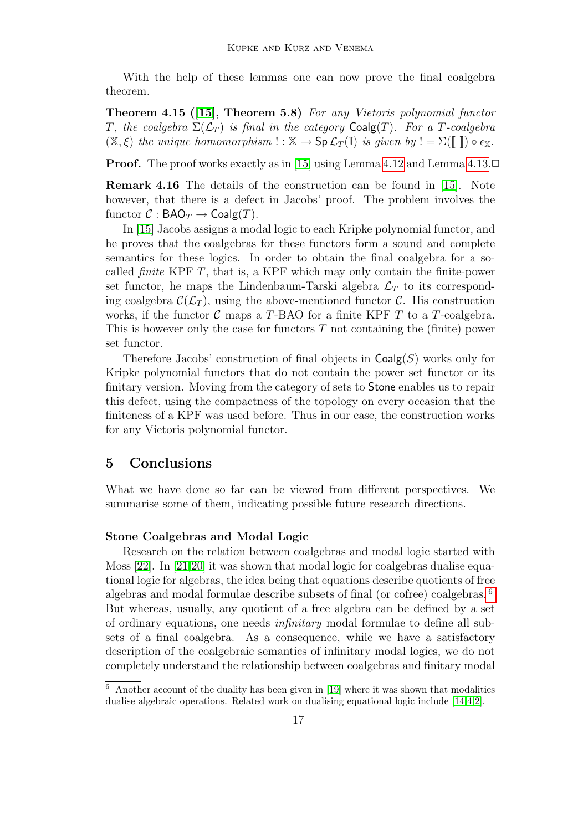With the help of these lemmas one can now prove the final coalgebra theorem.

Theorem 4.15 ([\[15\]](#page-19-3), Theorem 5.8) For any Vietoris polynomial functor T, the coalgebra  $\Sigma(\mathcal{L}_T)$  is final in the category Coalg(T). For a T-coalgebra  $(\mathbb{X}, \xi)$  the unique homomorphism  $\cdot : \mathbb{X} \to \mathsf{Sp}\,\mathcal{L}_T(\mathbb{I})$  is given by  $\cdot = \Sigma(\llbracket \cdot \rrbracket) \circ \epsilon_{\mathbb{X}}$ .

**Proof.** The proof works exactly as in [\[15\]](#page-19-3) using Lemma [4.12](#page-15-0) and Lemma [4.13.](#page-15-1) $\Box$ 

<span id="page-16-0"></span>Remark 4.16 The details of the construction can be found in [\[15\]](#page-19-3). Note however, that there is a defect in Jacobs' proof. The problem involves the functor  $C : \mathsf{BAO}_T \to \mathsf{Coalg}(T)$ .

In [\[15\]](#page-19-3) Jacobs assigns a modal logic to each Kripke polynomial functor, and he proves that the coalgebras for these functors form a sound and complete semantics for these logics. In order to obtain the final coalgebra for a socalled *finite* KPF  $T$ , that is, a KPF which may only contain the finite-power set functor, he maps the Lindenbaum-Tarski algebra  $\mathcal{L}_T$  to its corresponding coalgebra  $\mathcal{C}(\mathcal{L}_T)$ , using the above-mentioned functor  $\mathcal{C}$ . His construction works, if the functor  $\mathcal C$  maps a T-BAO for a finite KPF T to a T-coalgebra. This is however only the case for functors  $T$  not containing the (finite) power set functor.

Therefore Jacobs' construction of final objects in  $Coalg(S)$  works only for Kripke polynomial functors that do not contain the power set functor or its finitary version. Moving from the category of sets to Stone enables us to repair this defect, using the compactness of the topology on every occasion that the finiteness of a KPF was used before. Thus in our case, the construction works for any Vietoris polynomial functor.

# 5 Conclusions

What we have done so far can be viewed from different perspectives. We summarise some of them, indicating possible future research directions.

## Stone Coalgebras and Modal Logic

Research on the relation between coalgebras and modal logic started with Moss [\[22\]](#page-19-2). In [\[21](#page-19-6)[,20\]](#page-19-7) it was shown that modal logic for coalgebras dualise equational logic for algebras, the idea being that equations describe quotients of free algebras and modal formulae describe subsets of final (or cofree) coalgebras. [6](#page-16-1) But whereas, usually, any quotient of a free algebra can be defined by a set of ordinary equations, one needs infinitary modal formulae to define all subsets of a final coalgebra. As a consequence, while we have a satisfactory description of the coalgebraic semantics of infinitary modal logics, we do not completely understand the relationship between coalgebras and finitary modal

<span id="page-16-1"></span> $6$  Another account of the duality has been given in [\[19\]](#page-19-11) where it was shown that modalities dualise algebraic operations. Related work on dualising equational logic include [\[14](#page-19-12)[,4,](#page-18-3)[2\]](#page-18-4).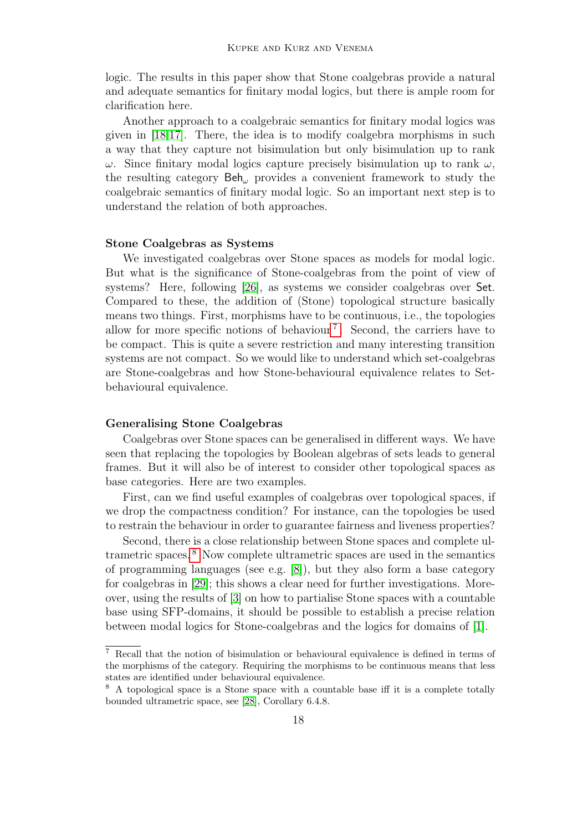logic. The results in this paper show that Stone coalgebras provide a natural and adequate semantics for finitary modal logics, but there is ample room for clarification here.

Another approach to a coalgebraic semantics for finitary modal logics was given in [\[18](#page-19-13)[,17\]](#page-19-14). There, the idea is to modify coalgebra morphisms in such a way that they capture not bisimulation but only bisimulation up to rank  $ω$ . Since finitary modal logics capture precisely bisimulation up to rank  $ω$ , the resulting category Beh<sup>ω</sup> provides a convenient framework to study the coalgebraic semantics of finitary modal logic. So an important next step is to understand the relation of both approaches.

## Stone Coalgebras as Systems

We investigated coalgebras over Stone spaces as models for modal logic. But what is the significance of Stone-coalgebras from the point of view of systems? Here, following [\[26\]](#page-20-2), as systems we consider coalgebras over Set. Compared to these, the addition of (Stone) topological structure basically means two things. First, morphisms have to be continuous, i.e., the topologies allow for more specific notions of behaviour<sup>[7](#page-17-0)</sup>. Second, the carriers have to be compact. This is quite a severe restriction and many interesting transition systems are not compact. So we would like to understand which set-coalgebras are Stone-coalgebras and how Stone-behavioural equivalence relates to Setbehavioural equivalence.

#### Generalising Stone Coalgebras

Coalgebras over Stone spaces can be generalised in different ways. We have seen that replacing the topologies by Boolean algebras of sets leads to general frames. But it will also be of interest to consider other topological spaces as base categories. Here are two examples.

First, can we find useful examples of coalgebras over topological spaces, if we drop the compactness condition? For instance, can the topologies be used to restrain the behaviour in order to guarantee fairness and liveness properties?

Second, there is a close relationship between Stone spaces and complete ultrametric spaces. [8](#page-17-1) Now complete ultrametric spaces are used in the semantics of programming languages (see e.g. [\[8\]](#page-18-5)), but they also form a base category for coalgebras in [\[29\]](#page-20-3); this shows a clear need for further investigations. Moreover, using the results of [\[3\]](#page-18-6) on how to partialise Stone spaces with a countable base using SFP-domains, it should be possible to establish a precise relation between modal logics for Stone-coalgebras and the logics for domains of [\[1\]](#page-18-7).

<span id="page-17-0"></span><sup>7</sup> Recall that the notion of bisimulation or behavioural equivalence is defined in terms of the morphisms of the category. Requiring the morphisms to be continuous means that less states are identified under behavioural equivalence.

<span id="page-17-1"></span><sup>&</sup>lt;sup>8</sup> A topological space is a Stone space with a countable base iff it is a complete totally bounded ultrametric space, see [\[28\]](#page-20-4), Corollary 6.4.8.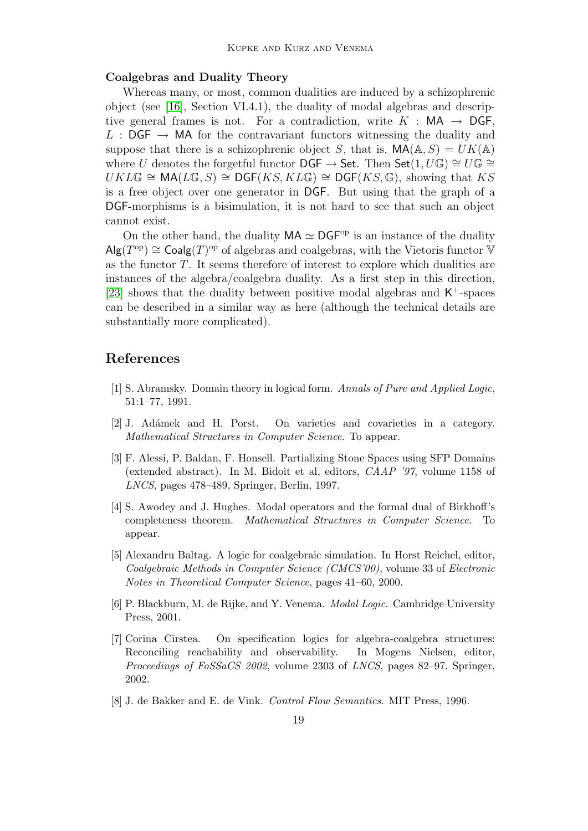### Coalgebras and Duality Theory

Whereas many, or most, common dualities are induced by a schizophrenic object (see [\[16\]](#page-19-1), Section VI.4.1), the duality of modal algebras and descriptive general frames is not. For a contradiction, write  $K : MA \rightarrow \mathsf{DGF}$ , L :  $\mathsf{DGF} \to \mathsf{MA}$  for the contravariant functors witnessing the duality and suppose that there is a schizophrenic object S, that is,  $MA(A, S) = UK(A)$ where U denotes the forgetful functor DGF  $\rightarrow$  Set. Then Set $(1, U\mathbb{G}) \cong U\mathbb{G} \cong$  $UKL\mathbb{G} \cong \text{MA}(L\mathbb{G}, S) \cong \text{DGF}(KS, KL\mathbb{G}) \cong \text{DGF}(KS, \mathbb{G})$ , showing that KS is a free object over one generator in DGF. But using that the graph of a DGF-morphisms is a bisimulation, it is not hard to see that such an object cannot exist.

On the other hand, the duality  $MA \simeq DGF^{op}$  is an instance of the duality  $\mathsf{Alg}(T^{\text{op}}) \cong \mathsf{Coalg}(T)^{\text{op}}$  of algebras and coalgebras, with the Vietoris functor  $\check{\mathbb{V}}$ as the functor  $T$ . It seems therefore of interest to explore which dualities are instances of the algebra/coalgebra duality. As a first step in this direction, [\[23\]](#page-19-15) shows that the duality between positive modal algebras and  $\mathsf{K}^+$ -spaces can be described in a similar way as here (although the technical details are substantially more complicated).

# References

- <span id="page-18-7"></span>[1] S. Abramsky. Domain theory in logical form. Annals of Pure and Applied Logic, 51:1–77, 1991.
- <span id="page-18-4"></span>[2] J. Ad´amek and H. Porst. On varieties and covarieties in a category. Mathematical Structures in Computer Science. To appear.
- <span id="page-18-6"></span>[3] F. Alessi, P. Baldan, F. Honsell. Partializing Stone Spaces using SFP Domains (extended abstract). In M. Bidoit et al, editors, CAAP '97, volume 1158 of LNCS, pages 478–489, Springer, Berlin, 1997.
- <span id="page-18-3"></span>[4] S. Awodey and J. Hughes. Modal operators and the formal dual of Birkhoff's completeness theorem. Mathematical Structures in Computer Science. To appear.
- <span id="page-18-1"></span>[5] Alexandru Baltag. A logic for coalgebraic simulation. In Horst Reichel, editor, Coalgebraic Methods in Computer Science (CMCS'00), volume 33 of Electronic Notes in Theoretical Computer Science, pages 41–60, 2000.
- <span id="page-18-0"></span>[6] P. Blackburn, M. de Rijke, and Y. Venema. Modal Logic. Cambridge University Press, 2001.
- <span id="page-18-2"></span>[7] Corina Cîrstea. On specification logics for algebra-coalgebra structures: Reconciling reachability and observability. In Mogens Nielsen, editor, Proceedings of FoSSaCS 2002, volume 2303 of LNCS, pages 82–97. Springer, 2002.
- <span id="page-18-5"></span>[8] J. de Bakker and E. de Vink. Control Flow Semantics. MIT Press, 1996.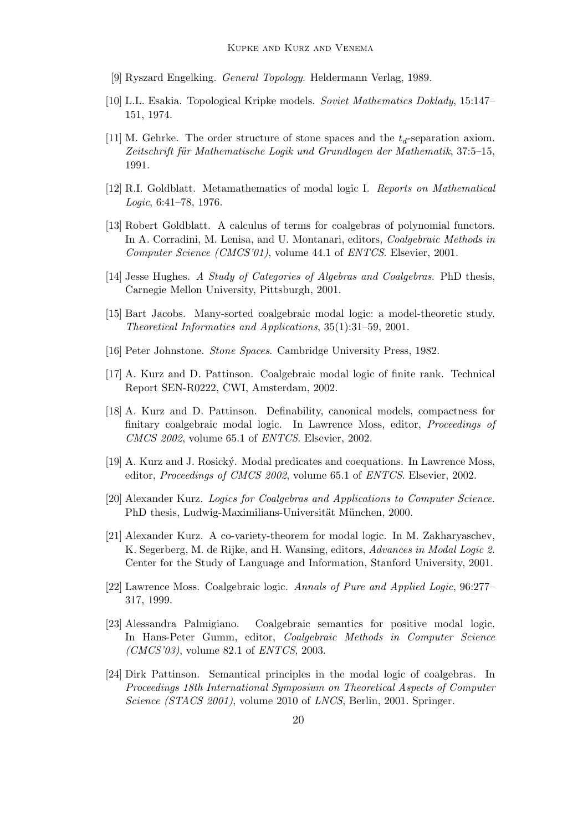- <span id="page-19-0"></span>[9] Ryszard Engelking. General Topology. Heldermann Verlag, 1989.
- <span id="page-19-8"></span>[10] L.L. Esakia. Topological Kripke models. Soviet Mathematics Doklady, 15:147– 151, 1974.
- <span id="page-19-10"></span>[11] M. Gehrke. The order structure of stone spaces and the  $t_d$ -separation axiom. Zeitschrift für Mathematische Logik und Grundlagen der Mathematik, 37:5–15, 1991.
- <span id="page-19-9"></span>[12] R.I. Goldblatt. Metamathematics of modal logic I. Reports on Mathematical Logic, 6:41–78, 1976.
- <span id="page-19-5"></span>[13] Robert Goldblatt. A calculus of terms for coalgebras of polynomial functors. In A. Corradini, M. Lenisa, and U. Montanari, editors, *Coalgebraic Methods in* Computer Science (CMCS'01), volume 44.1 of ENTCS. Elsevier, 2001.
- <span id="page-19-12"></span>[14] Jesse Hughes. A Study of Categories of Algebras and Coalgebras. PhD thesis, Carnegie Mellon University, Pittsburgh, 2001.
- <span id="page-19-3"></span>[15] Bart Jacobs. Many-sorted coalgebraic modal logic: a model-theoretic study. Theoretical Informatics and Applications, 35(1):31–59, 2001.
- <span id="page-19-1"></span>[16] Peter Johnstone. Stone Spaces. Cambridge University Press, 1982.
- <span id="page-19-14"></span>[17] A. Kurz and D. Pattinson. Coalgebraic modal logic of finite rank. Technical Report SEN-R0222, CWI, Amsterdam, 2002.
- <span id="page-19-13"></span>[18] A. Kurz and D. Pattinson. Definability, canonical models, compactness for finitary coalgebraic modal logic. In Lawrence Moss, editor, Proceedings of CMCS 2002, volume 65.1 of ENTCS. Elsevier, 2002.
- <span id="page-19-11"></span>[19] A. Kurz and J. Rosick´y. Modal predicates and coequations. In Lawrence Moss, editor, Proceedings of CMCS 2002, volume 65.1 of ENTCS. Elsevier, 2002.
- <span id="page-19-7"></span>[20] Alexander Kurz. Logics for Coalgebras and Applications to Computer Science. PhD thesis, Ludwig-Maximilians-Universität München, 2000.
- <span id="page-19-6"></span>[21] Alexander Kurz. A co-variety-theorem for modal logic. In M. Zakharyaschev, K. Segerberg, M. de Rijke, and H. Wansing, editors, Advances in Modal Logic 2. Center for the Study of Language and Information, Stanford University, 2001.
- <span id="page-19-2"></span>[22] Lawrence Moss. Coalgebraic logic. Annals of Pure and Applied Logic, 96:277– 317, 1999.
- <span id="page-19-15"></span>[23] Alessandra Palmigiano. Coalgebraic semantics for positive modal logic. In Hans-Peter Gumm, editor, Coalgebraic Methods in Computer Science  $(CMCS'03)$ , volume 82.1 of *ENTCS*, 2003.
- <span id="page-19-4"></span>[24] Dirk Pattinson. Semantical principles in the modal logic of coalgebras. In Proceedings 18th International Symposium on Theoretical Aspects of Computer Science (STACS 2001), volume 2010 of LNCS, Berlin, 2001. Springer.